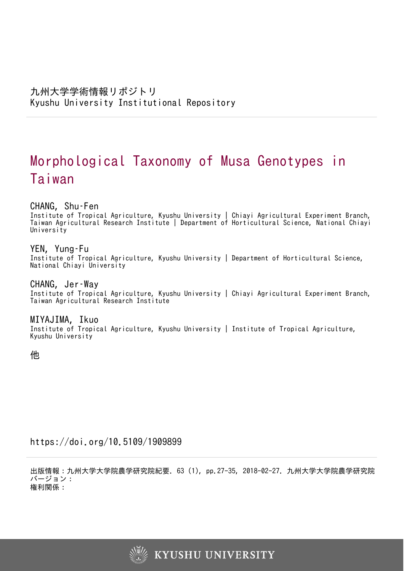# Morphological Taxonomy of Musa Genotypes in Taiwan

CHANG, Shu–Fen

Institute of Tropical Agriculture, Kyushu University | Chiayi Agricultural Experiment Branch, Taiwan Agricultural Research Institute | Department of Horticultural Science, National Chiayi University

YEN, Yung–Fu

Institute of Tropical Agriculture, Kyushu University | Department of Horticultural Science, National Chiayi University

CHANG, Jer–Way Institute of Tropical Agriculture, Kyushu University | Chiayi Agricultural Experiment Branch, Taiwan Agricultural Research Institute

MIYAJIMA, Ikuo Institute of Tropical Agriculture, Kyushu University | Institute of Tropical Agriculture, Kyushu University

他

https://doi.org/10.5109/1909899

出版情報:九州大学大学院農学研究院紀要. 63 (1), pp.27-35, 2018-02-27. 九州大学大学院農学研究院 バージョン: 権利関係:

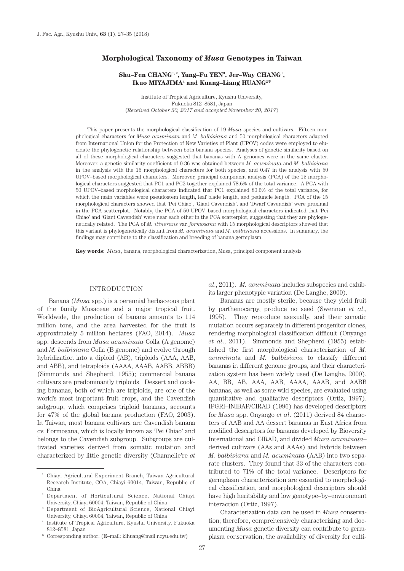### **Morphological Taxonomy of** *Musa* **Genotypes in Taiwan**

# Shu–Fen CHANG<sup>1, 2</sup>, Yung–Fu YEN<sup>3</sup>, Jer–Way CHANG<sup>1</sup>, Ikuo MIYAJIMA<sup>4</sup> and Kuang-Liang HUANG<sup>2\*</sup>

Institute of Tropical Agriculture, Kyushu University, Fukuoka 812–8581, Japan (*Received October 30, 2017 and accepted November 20, 2017*)

This paper presents the morphological classification of 19 *Musa* species and cultivars. Fifteen morphological characters for *Musa acuminata* and *M. balbisiana* and 50 morphological characters adapted from International Union for the Protection of New Varieties of Plant (UPOV) codes were employed to elucidate the phylogenetic relationship between both banana species. Analyses of genetic similarity based on all of these morphological characters suggested that bananas with A–genomes were in the same cluster. Moreover, a genetic similarity coefficient of 0.36 was obtained between *M. acuminata* and *M. balbisiana* in the analysis with the 15 morphological characters for both species, and 0.47 in the analysis with 50 UPOV–based morphological characters. Moreover, principal component analysis (PCA) of the 15 morphological characters suggested that PC1 and PC2 together explained 78.6% of the total variance. A PCA with 50 UPOV–based morphological characters indicated that PC1 explained 80.6% of the total variance, for which the main variables were pseudostem length, leaf blade length, and peduncle length. PCA of the 15 morphological characters showed that 'Pei Chiao', 'Giant Cavendish', and 'Dwarf Cavendish' were proximal in the PCA scatterplot. Notably, the PCA of 50 UPOV–based morphological characters indicated that 'Pei Chiao' and 'Giant Cavendish' were near each other in the PCA scatterplot, suggesting that they are phylogenetically related. The PCA of *M. itinerans* var. *formosana* with 15 morphological descriptors showed that this variant is phylogenetically distant from *M. acuminata* and *M. balbisiana* accessions. In summary, the findings may contribute to the classification and breeding of banana germplasm.

**Key words**: *Musa*, banana, morphological characterization, Musa, principal component analysis

#### INTRODUCTION

Banana (*Musa* spp.) is a perennial herbaceous plant of the family Musaceae and a major tropical fruit. Worldwide, the production of banana amounts to 114 million tons, and the area harvested for the fruit is approximately 5 million hectares (FAO, 2014). *Musa* spp. descends from *Musa acuminata* Colla (A genome) and *M. balbisiana* Colla (B genome) and evolve through hybridization into a diploid (AB), triploids (AAA, AAB, and ABB), and tetraploids (AAAA, AAAB, AABB, ABBB) (Simmonds and Shepherd, 1955); commercial banana cultivars are predominantly triploids. Dessert and cooking bananas, both of which are triploids, are one of the world's most important fruit crops, and the Cavendish subgroup, which comprises triploid bananas, accounts for 47% of the global banana production (FAO, 2003). In Taiwan, most banana cultivars are Cavendish banana cv. Formosana, which is locally known as 'Pei Chiao' and belongs to the Cavendish subgroup. Subgroups are cultivated varieties derived from somatic mutation and characterized by little genetic diversity (Channelie're *et* 

\* Corresponding author: (E–mail: klhuang@mail.ncyu.edu.tw)

*al*., 2011). *M. acuminata* includes subspecies and exhibits larger phenotypic variation (De Langhe, 2000).

Bananas are mostly sterile, because they yield fruit by parthenocarpy, produce no seed (Swennen *et al*., 1995). They reproduce asexually, and their somatic mutation occurs separately in different progenitor clones, rendering morphological classification difficult (Onyango *et al*., 2011). Simmonds and Shepherd (1955) established the first morphological characterization of *M. acuminat*a and *M. balbisiana* to classify different bananas in different genome groups, and their characterization system has been widely used (De Langhe, 2000). AA, BB, AB, AAA, AAB, AAAA, AAAB, and AABB bananas, as well as some wild species, are evaluated using quantitative and qualitative descriptors (Ortiz, 1997). IPGRI–INIBAP/CIRAD (1996) has developed descriptors for *Musa* spp. Onyango *et al*. (2011) derived 84 characters of AAB and AA dessert bananas in East Africa from modified descriptors for bananas developed by Bioversity International and CIRAD, and divided *Musa acuminata*– derived cultivars (AAs and AAAs) and hybrids between *M. balbisiana* and *M. acuminata* (AAB) into two separate clusters. They found that 33 of the characters contributed to 71% of the total variance. Descriptors for germplasm characterization are essential to morphological classification, and morphological descriptors should have high heritability and low genotype–by–environment interaction (Ortiz, 1997).

Characterization data can be used in *Musa* conservation; therefore, comprehensively characterizing and documenting *Musa* genetic diversity can contribute to germplasm conservation, the availability of diversity for culti-

<sup>1</sup> Chiayi Agricultural Experiment Branch, Taiwan Agricultural Research Institute, COA, Chiayi 60014, Taiwan, Republic of China

<sup>2</sup> Department of Horticultural Science, National Chiayi University, Chiayi 60004, Taiwan, Republic of China

<sup>3</sup> Department of BioAgricultural Science, National Chiayi University, Chiayi 60004, Taiwan, Republic of China

<sup>4</sup> Institute of Tropical Agriculture, Kyushu University, Fukuoka 812–8581, Japan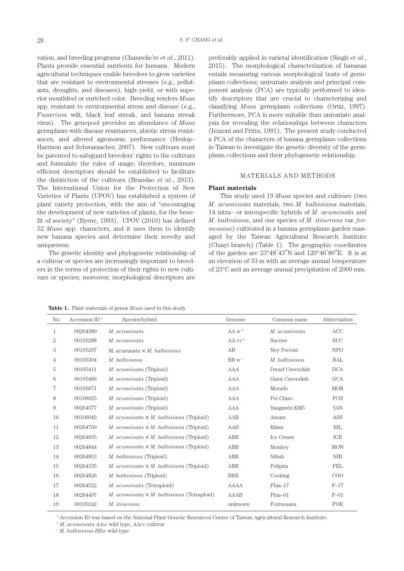vation, and breeding programs (Channelie're *et al*., 2011). Plants provide essential nutrients for humans. Modern agricultural techniques enable breeders to grow varieties that are resistant to environmental stresses (e.g., pollutants, droughts, and diseases), high–yield, or with superior mouthfeel or enriched color. Breeding renders *Musa* spp. resistant to environmental stress and disease (e.g., *Fusarium* wilt, black leaf streak, and banana streak virus). The genepool provides an abundance of *Musa* germplasm with disease resistances, abiotic stress resistances, and altered agronomic performance (Heslop– Harrison and Schwarzacher, 2007). New cultivars must be patented to safeguard breeders' rights to the cultivars and formulate the rules of usage; therefore, minimum efficient descriptors should be established to facilitate the distinction of the cultivars (Brandao *et al*., 2013). The International Union for the Protection of New Varieties of Plants (UPOV) has established a system of plant variety protection, with the aim of "encouraging the development of new varieties of plants, for the benefit of society" (Byrne, 1993). UPOV (2010) has defined 52 *Musa* spp. characters, and it uses them to identify new banana species and determine their novelty and uniqueness.

The genetic identity and phylogenetic relationship of a cultivar or species are increasingly important to breeders in the terms of protection of their rights to new cultivars or species; moreover, morphological descriptors are

preferably applied in varietal identification (Singh *et al*., 2015). The morphological characterization of bananas entails measuring various morphological traits of germplasm collections; univariate analysis and principal component analysis (PCA) are typically performed to identify descriptors that are crucial to characterizing and classifying *Musa* germplasm collections (Ortiz, 1997). Furthermore, PCA is more suitable than univariate analysis for revealing the relationships between characters (Iezzoni and Pritts, 1991). The present study conducted a PCA of the characters of banana germplasm collections in Taiwan to investigate the genetic diversity of the germplasm collections and their phylogenetic relationship.

# MATERIALS AND METHODS

#### **Plant materials**

This study used 19 *Musa* species and cultivars (two *M. acuminata* materials, two *M. balbisiana* materials, 14 intra– or interspecific hybrids of *M. acuminata* and *M. balbisiana*, and one species of *M. itinerans* var. *formosana*) cultivated in a banana germplasm garden managed by the Taiwan Agricultural Research Institute (Chiayi branch) (Table 1). The geographic coordinates of the garden are  $23^{\circ}48'43''N$  and  $120^{\circ}46'80''E$ . It is at an elevation of 33 m with an average annual temperature of 23°C and an average annual precipitation of 2000 mm.

**Table 1.** Plant materials of genus *Musa* used in this study

| No.            | Accession ID $^{\mathrm{a}}$ | Species/hybrid                                   | Genome               | Common name     | Abbreviation |
|----------------|------------------------------|--------------------------------------------------|----------------------|-----------------|--------------|
| 1              | 00264380                     | M. acuminata                                     | $AA$ w <sup>b</sup>  | M. acuminata    | <b>ACU</b>   |
| $\overline{2}$ | 00105288                     | M. acuminata                                     | $AA$ cv <sup>b</sup> | Sucrier         | <b>SUC</b>   |
| 3              | 00105297                     | M. acuminata $\times$ M. balbisiana              | AB                   | Ney Poovan      | NPO          |
| 4              | 00105304                     | M. balbisiana                                    | BB $wc$              | M. balbisiana   | BAL          |
| 5              | 00105411                     | M. acuminata (Triploid)                          | <b>AAA</b>           | Dwarf Cavendish | <b>DCA</b>   |
| 6              | 00105466                     | M. acuminata (Triploid)                          | AAA                  | Giant Cavendish | <b>GCA</b>   |
| 7              | 00105671                     | M. acuminata (Triploid)                          | <b>AAA</b>           | Morado          | <b>MOR</b>   |
| 8              | 00106025                     | M. acuminata (Triploid)                          | <b>AAA</b>           | Pei Chiao       | PCH          |
| 9              | 00264577                     | M. acuminata (Triploid)                          | AAA                  | Yangambi KM5    | YAN          |
| 10             | 00106043                     | M. acuminata $\times$ M. balbisiana (Triploid)   | AAB                  | Assam           | ASS          |
| 11             | 00264700                     | M. acuminata $\times$ M. balbisiana (Triploid)   | AAB                  | Rilian          | RIL          |
| 12             | 00264835                     | M. acuminata $\times$ M. balbisiana (Triploid)   | ABB                  | Ice Cream       | ICR          |
| 13             | 00264844                     | M. acuminata $\times$ M. balbisiana (Triploid)   | ABB                  | Monkey          | <b>MON</b>   |
| 14             | 00264853                     | M. balbisiana (Triploid)                         | ABB                  | Nibah           | <b>NIB</b>   |
| 15             | 00264335                     | M. acuminata $\times$ M. balbisiana (Triploid)   | ABB                  | Pelipita        | PEL          |
| 16             | 00264826                     | M. balbisiana (Triploid)                         | <b>BBB</b>           | Cooking         | COO          |
| 17             | 00264522                     | M. acuminata (Tetraploid)                        | AAAA                 | $Fhia-17$       | $F-17$       |
| 18             | 00264497                     | M. acuminata $\times$ M. balbisiana (Tetraploid) | <b>AAAB</b>          | $Fhia-01$       | $F-01$       |
| 19             | 00105242                     | M. itinerans                                     | unknown              | Formosana       | FOR          |
|                |                              |                                                  |                      |                 |              |

a Accession ID was based on the National Plant Genetic Resources Center of Taiwan Agricultural Research Institute.

<sup>b</sup> *M. acuminata AAw* wild type, *AAcv* cultivar

<sup>c</sup> *M. balbisiana BBw* wild type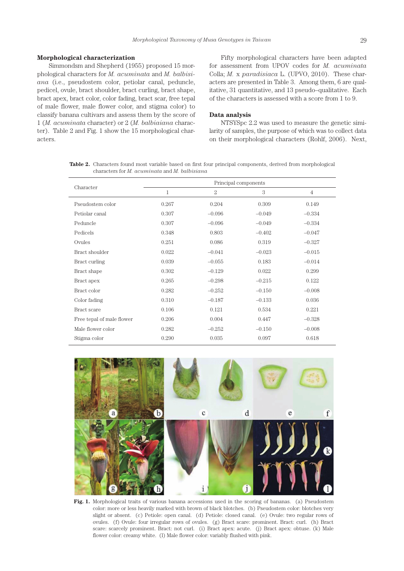#### **Morphological characterization**

Simmondsm and Shepherd (1955) proposed 15 morphological characters for *M. acuminata* and *M. balbisiana* (i.e., pseudostem color, petiolar canal, peduncle, pedicel, ovule, bract shoulder, bract curling, bract shape, bract apex, bract color, color fading, bract scar, free tepal of male flower, male flower color, and stigma color) to classify banana cultivars and assess them by the score of 1 (*M. acuminata* character) or 2 (*M. balbiaiana* character). Table 2 and Fig. 1 show the 15 morphological characters.

Fifty morphological characters have been adapted for assessment from UPOV codes for *M. acuminata*  Colla; *M.* x *paradisiaca* L. (UPVO, 2010). These characters are presented in Table 3. Among them, 6 are qualitative, 31 quantitative, and 13 pseudo–qualitative. Each of the characters is assessed with a score from 1 to 9.

# **Data analysis**

NTSYSpc 2.2 was used to measure the genetic similarity of samples, the purpose of which was to collect data on their morphological characters (Rohlf, 2006). Next,

**Table 2.** Characters found most variable based on first four principal components, derived from morphological characters for *M. acuminata* and *M. balbisiana*

|                           | Principal components |              |          |                |  |  |
|---------------------------|----------------------|--------------|----------|----------------|--|--|
| Character                 | 1                    | $\mathbf{2}$ | 3        | $\overline{4}$ |  |  |
| Pseudostem color          | 0.267                | 0.204        | 0.309    | 0.149          |  |  |
| Petiolar canal            | 0.307                | $-0.096$     | $-0.049$ | $-0.334$       |  |  |
| Peduncle                  | 0.307                | $-0.096$     | $-0.049$ | $-0.334$       |  |  |
| Pedicels                  | 0.348                | 0.803        | $-0.402$ | $-0.047$       |  |  |
| Ovules                    | 0.251                | 0.086        | 0.319    | $-0.327$       |  |  |
| Bract shoulder            | 0.022                | $-0.041$     | $-0.023$ | $-0.015$       |  |  |
| Bract curling             | 0.039                | $-0.055$     | 0.183    | $-0.014$       |  |  |
| Bract shape               | 0.302                | $-0.129$     | 0.022    | 0.299          |  |  |
| Bract apex                | 0.265                | $-0.298$     | $-0.215$ | 0.122          |  |  |
| Bract color               | 0.282                | $-0.252$     | $-0.150$ | $-0.008$       |  |  |
| Color fading              | 0.310                | $-0.187$     | $-0.133$ | 0.036          |  |  |
| Bract scare               | 0.106                | 0.121        | 0.534    | 0.221          |  |  |
| Free tepal of male flower | 0.206                | 0.004        | 0.447    | $-0.328$       |  |  |
| Male flower color         | 0.282                | $-0.252$     | $-0.150$ | $-0.008$       |  |  |
| Stigma color              | 0.290                | 0.035        | 0.097    | 0.618          |  |  |



**Fig. 1.** Morphological traits of various banana accessions used in the scoring of bananas. (a) Pseudostem color: more or less heavily marked with brown of black blotches. (b) Pseudostem color: blotches very slight or absent. (c) Petiole: open canal. (d) Petiole: closed canal. (e) Ovule: two regular rows of ovules. (f) Ovule: four irregular rows of ovules. (g) Bract scare: prominent. Bract: curl. (h) Bract scare: scarcely prominent. Bract: not curl. (i) Bract apex: acute. (j) Bract apex: obtuse. (k) Male flower color: creamy white. (l) Male flower color: variably flushed with pink.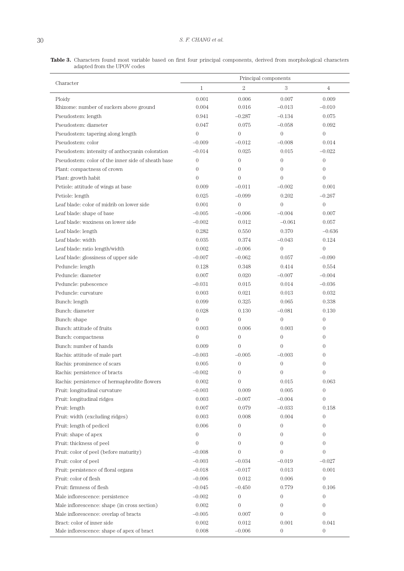**Table 3.** Characters found most variable based on first four principal components, derived from morphological characters adapted from the UPOV codes  $\overline{a}$ 

| Character                                          | Principal components |                  |                   |                  |
|----------------------------------------------------|----------------------|------------------|-------------------|------------------|
|                                                    | $\mathbf{1}$         | $\overline{2}$   | $\boldsymbol{3}$  | $\overline{4}$   |
| Ploidy                                             | 0.001                | 0.006            | 0.007             | 0.009            |
| Rhizome: number of suckers above ground            | 0.004                | 0.016            | $-0.013$          | $-0.010$         |
| Pseudostem: length                                 | 0.941                | $-0.287$         | $-0.134$          | 0.075            |
| Pseudostem: diameter                               | 0.047                | 0.075            | $-0.058$          | 0.092            |
| Pseudostem: tapering along length                  | $\overline{0}$       | $\overline{0}$   | $\overline{0}$    | $\overline{0}$   |
| Pseudostem: color                                  | $-0.009$             | $-0.012$         | $-0.008$          | 0.014            |
| Pseudostem: intensity of anthocyanin coloration    | $-0.014$             | 0.025            | 0.015             | $-0.022$         |
| Pseudostem: color of the inner side of sheath base | $\overline{0}$       | $\overline{0}$   | $\overline{0}$    | $\boldsymbol{0}$ |
| Plant: compactness of crown                        | $\overline{0}$       | $\Omega$         | $\Omega$          | $\overline{0}$   |
| Plant: growth habit                                | $\overline{0}$       | $\theta$         | $\left($          | $\overline{0}$   |
| Petiole: attitude of wings at base                 | 0.009                | $-0.011$         | $-0.002$          | 0.001            |
| Petiole: length                                    | 0.025                | $-0.099$         | 0.202             | $-0.267$         |
| Leaf blade: color of midrib on lower side          | 0.001                | $\overline{0}$   | $\overline{0}$    | $\overline{0}$   |
| Leaf blade: shape of base                          | $-0.005$             | $-0.006$         | $-0.004$          | 0.007            |
| Leaf blade: waxiness on lower side                 | $-0.002$             | 0.012            | $-0.061$          | 0.057            |
| Leaf blade: length                                 | 0.282                | 0.550            | 0.370             | $-0.636$         |
| Leaf blade: width                                  | 0.035                | 0.374            | $-0.043$          | 0.124            |
| Leaf blade: ratio length/width                     | 0.002                | $-0.006$         | $\overline{0}$    | $\overline{0}$   |
| Leaf blade: glossiness of upper side               | $-0.007$             | $-0.062$         | 0.057             | $-0.090$         |
| Peduncle: length                                   | 0.128                | 0.348            | 0.414             | 0.554            |
| Peduncle: diameter                                 | 0.007                | 0.020            | $-0.007$          | $-0.004$         |
| Peduncle: pubescence                               | $-0.031$             | 0.015            | 0.014             | $-0.036$         |
| Peduncle: curvature                                | 0.003                | 0.021            | 0.013             | 0.032            |
| Bunch: length                                      | 0.099                | 0.325            | 0.065             | 0.338            |
| Bunch: diameter                                    | 0.028                | 0.130            | $-0.081$          | 0.130            |
| Bunch: shape                                       | $\overline{0}$       | $\overline{0}$   | $\overline{0}$    | $\overline{0}$   |
| Bunch: attitude of fruits                          | 0.003                | 0.006            | 0.003             | $\overline{0}$   |
| Bunch: compactness                                 | $\overline{0}$       | $\overline{0}$   | $\overline{0}$    | $\overline{0}$   |
| Bunch: number of hands                             | 0.009                | $\overline{0}$   | $\overline{0}$    | $\Omega$         |
| Rachis: attitude of male part                      | $-0.003$             | $-0.005$         | $-0.003$          | $\theta$         |
| Rachis: prominence of scars                        | 0.005                | $\overline{0}$   | $\overline{0}$    | $\theta$         |
| Rachis: persistence of bracts                      | $-0.002$             | 0                | $\boldsymbol{0}$  | 0                |
| Rachis: persistence of hermaphrodite flowers       | 0.002                | $\overline{0}$   | 0.015             | 0.063            |
| Fruit: longitudinal curvature                      | $-0.003$             | 0.009            | 0.005             | $\boldsymbol{0}$ |
| Fruit: longitudinal ridges                         | 0.003                | $-0.007$         | $-0.004$          | $\boldsymbol{0}$ |
| Fruit: length                                      | 0.007                | 0.079            | $-0.033$          | 0.158            |
| Fruit: width (excluding ridges)                    | 0.003                | 0.008            | 0.004             | $\overline{0}$   |
| Fruit: length of pedicel                           | 0.006                | $\overline{0}$   | $\overline{0}$    | $\Omega$         |
| Fruit: shape of apex                               | $\overline{0}$       | $\overline{0}$   | $\overline{0}$    | $\overline{0}$   |
| Fruit: thickness of peel                           | $\boldsymbol{0}$     | $\overline{0}$   | $\overline{0}$    | $\boldsymbol{0}$ |
| Fruit: color of peel (before maturity)             | $-0.008$             | $\overline{0}$   | $\overline{0}$    | $\boldsymbol{0}$ |
| Fruit: color of peel                               | $-0.003$             | $-0.034$         | $-0.019$          | $-0.027$         |
| Fruit: persistence of floral organs                | $-0.018$             | $-0.017$         | 0.013             | 0.001            |
| Fruit: color of flesh                              | $-0.006$             | 0.012            | 0.006             | $\boldsymbol{0}$ |
| Fruit: firmness of flesh                           | $-0.045$             | $-0.450$         | 0.779             | 0.106            |
|                                                    | $-0.002$             |                  | $\theta$          | $\boldsymbol{0}$ |
| Male inflorescence: persistence                    |                      | $\boldsymbol{0}$ |                   |                  |
| Male inflorescence: shape (in cross section)       | 0.002                | $\boldsymbol{0}$ | $\overline{0}$    | $\boldsymbol{0}$ |
| Male inflorescence: overlap of bracts              | $-0.005$<br>0.002    | 0.007<br>0.012   | $\theta$<br>0.001 | $\overline{0}$   |
| Bract: color of inner side                         |                      |                  |                   | 0.041            |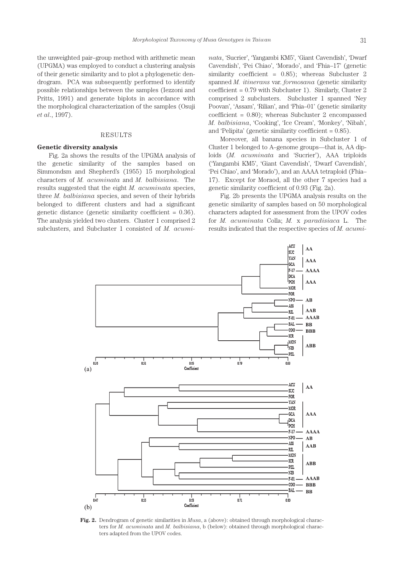the unweighted pair–group method with arithmetic mean (UPGMA) was employed to conduct a clustering analysis of their genetic similarity and to plot a phylogenetic dendrogram. PCA was subsequently performed to identify possible relationships between the samples (Iezzoni and Pritts, 1991) and generate biplots in accordance with the morphological characterization of the samples (Osuji *et al*., 1997).

#### RESULTS

# **Genetic diversity analysis**

Fig. 2a shows the results of the UPGMA analysis of the genetic similarity of the samples based on Simmondsm and Shepherd's (1955) 15 morphological characters of *M. acuminata* and *M. balbisiana*. The results suggested that the eight *M. acuminata* species, three *M. balbisiana* species, and seven of their hybrids belonged to different clusters and had a significant genetic distance (genetic similarity coefficient  $= 0.36$ ). The analysis yielded two clusters. Cluster 1 comprised 2 subclusters, and Subcluster 1 consisted of *M. acumi-* *nata*, 'Sucrier', 'Yangambi KM5', 'Giant Cavendish', 'Dwarf Cavendish', 'Pei Chiao', 'Morado', and 'Fhia–17' (genetic similarity coefficient =  $0.85$ ; whereas Subcluster 2 spanned *M. itinerans* var. *formosana* (genetic similarity coefficient =  $0.79$  with Subcluster 1). Similarly, Cluster 2 comprised 2 subclusters. Subcluster 1 spanned 'Ney Poovan', 'Assam', 'Rilian', and 'Fhia–01' (genetic similarity coefficient =  $0.80$ ); whereas Subcluster 2 encompassed *M. balbisiana*, 'Cooking', 'Ice Cream', 'Monkey', 'Nibah', and 'Pelipita' (genetic similarity coefficient  $= 0.85$ ).

Moreover, all banana species in Subcluster 1 of Cluster 1 belonged to A–genome groups—that is, AA diploids (*M. acuminata* and 'Sucrier'), AAA triploids ('Yangambi KM5', 'Giant Cavendish', 'Dwarf Cavendish', 'Pei Chiao', and 'Morado'), and an AAAA tetraploid (Fhia– 17). Except for Moraod, all the other 7 species had a genetic similarity coefficient of 0.93 (Fig. 2a).

Fig. 2b presents the UPGMA analysis results on the genetic similarity of samples based on 50 morphological characters adapted for assessment from the UPOV codes for *M. acuminata* Colla; *M.* x *paradisiaca* L. The results indicated that the respective species of *M. acumi-*



**Fig. 2.** Dendrogram of genetic similarities in *Musa*, a (above): obtained through morphological characters for *M. acuminata* and *M. balbisiana*, b (below): obtained through morphological characters adapted from the UPOV codes.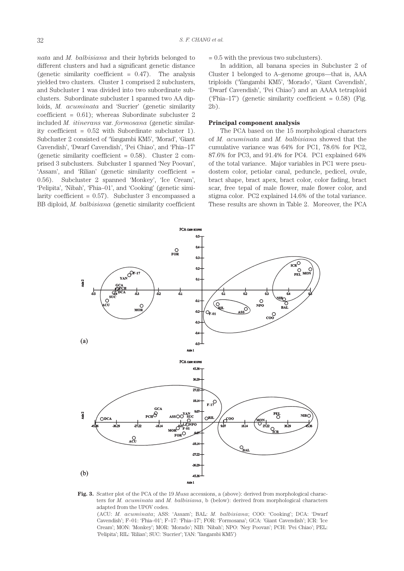*nata* and *M. balbisiana* and their hybrids belonged to different clusters and had a significant genetic distance (genetic similarity coefficient  $= 0.47$ ). The analysis yielded two clusters. Cluster 1 comprised 2 subclusters, and Subcluster 1 was divided into two subordinate subclusters. Subordinate subcluster 1 spanned two AA diploids, *M. acuminata* and 'Sucrier' (genetic similarity coefficient =  $0.61$ ); whereas Subordinate subcluster 2 included *M. itinerans* var. *formosana* (genetic similarity coefficient = 0.52 with Subordinate subcluster 1). Subcluster 2 consisted of 'Yangambi KM5', 'Morad', 'Giant Cavendish', 'Dwarf Cavendish', 'Pei Chiao', and 'Fhia–17' (genetic similarity coefficient  $= 0.58$ ). Cluster 2 comprised 3 subclusters. Subcluster 1 spanned 'Ney Poovan', 'Assam', and 'Rilian' (genetic similarity coefficient = 0.56). Subcluster 2 spanned 'Monkey', 'Ice Cream', 'Pelipita', 'Nibah', 'Fhia–01', and 'Cooking' (genetic similarity coefficient  $= 0.57$ . Subcluster 3 encompassed a BB diploid, *M. balbisiana* (genetic similarity coefficient

# $= 0.5$  with the previous two subclusters).

In addition, all banana species in Subcluster 2 of Cluster 1 belonged to A–genome groups—that is, AAA triploids ('Yangambi KM5', 'Morado', 'Giant Cavendish', 'Dwarf Cavendish', 'Pei Chiao') and an AAAA tetraploid ('Fhia–17') (genetic similarity coefficient =  $0.58$ ) (Fig. 2b).

### **Principal component analysis**

The PCA based on the 15 morphological characters of *M. acuminata* and *M. balbisiana* showed that the cumulative variance was 64% for PC1, 78.6% for PC2, 87.6% for PC3, and 91.4% for PC4. PC1 explained 64% of the total variance. Major variables in PC1 were pseudostem color, petiolar canal, peduncle, pedicel, ovule, bract shape, bract apex, bract color, color fading, bract scar, free tepal of male flower, male flower color, and stigma color. PC2 explained 14.6% of the total variance. These results are shown in Table 2. Moreover, the PCA



**Fig. 3.** Scatter plot of the PCA of the 19 *Musa* accessions, a (above): derived from morphological characters for *M. acuminata* and *M. balbisiana*, b (below): derived from morphological characters adapted from the UPOV codes. (ACU: *M. acuminata*; ASS: 'Assam'; BAL: *M. balbisiana*; COO: 'Cooking'; DCA: 'Dwarf Cavendish'; F–01: 'Fhia–01'; F–17: 'Fhia–17'; FOR: 'Formosana'; GCA: 'Giant Cavendish'; ICR: 'Ice Cream'; MON: 'Monkey'; MOR: 'Morado'; NIB: 'Nibah'; NPO: 'Ney Poovan'; PCH: 'Pei Chiao'; PEL: 'Pelipita'; RIL: 'Rilian'; SUC: 'Sucrier'; YAN: 'Yangambi KM5')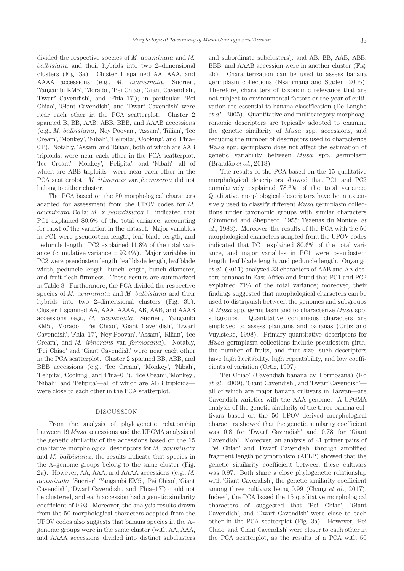divided the respective species of *M. acuminata* and *M. balbisian*a and their hybrids into two 2–dimensional clusters (Fig. 3a). Cluster 1 spanned AA, AAA, and AAAA accessions (e.g., *M. acuminata*, 'Sucrier', 'Yangambi KM5', 'Morado', 'Pei Chiao', 'Giant Cavendish', 'Dwarf Cavendish', and 'Fhia–17'); in particular, 'Pei Chiao', 'Giant Cavendish', and 'Dwarf Cavendish' were near each other in the PCA scatterplot. Cluster 2 spanned B, BB, AAB, ABB, BBB, and AAAB accessions (e.g., *M. balbisiana*, 'Ney Poovan', 'Assam', 'Rilian', 'Ice Cream', 'Monkey', 'Nibah', 'Pelipita', 'Cooking', and 'Fhia– 01'). Notably, 'Assam' and 'Rilian', both of which are AAB triploids, were near each other in the PCA scatterplot. 'Ice Cream', 'Monkey', 'Pelipita', and 'Nibah'—all of which are ABB triploids—were near each other in the PCA scatterplot. *M. itinerans* var. *formosana* did not belong to either cluster.

The PCA based on the 50 morphological characters adapted for assessment from the UPOV codes for *M. acuminata* Colla; *M.* x *paradisiaca* L. indicated that PC1 explained 80.6% of the total variance, accounting for most of the variation in the dataset. Major variables in PC1 were pseudostem length, leaf blade length, and peduncle length. PC2 explained 11.8% of the total variance (cumulative variance = 92.4%). Major variables in PC2 were pseudostem length, leaf blade length, leaf blade width, peduncle length, bunch length, bunch diameter, and fruit flesh firmness. These results are summarized in Table 3. Furthermore, the PCA divided the respective species of *M. acuminata* and *M. balbisiana* and their hybrids into two 2–dimensional clusters (Fig. 3b). Cluster 1 spanned AA, AAA, AAAA, AB, AAB, and AAAB accessions (e.g., *M. acuminata*, 'Sucrier', 'Yangambi KM5', 'Morado', 'Pei Chiao', 'Giant Cavendish', 'Dwarf Cavendish', 'Fhia–17', 'Ney Poovan', 'Assam', 'Rilian', 'Ice Cream', and *M. itinerans* var. *formosana*). Notably, 'Pei Chiao' and 'Giant Cavendish' were near each other in the PCA scatterplot. Cluster 2 spanned BB, ABB, and BBB accessions (e.g., 'Ice Cream', 'Monkey', 'Nibah', 'Pelipita', 'Cooking', and 'Fhia–01'). 'Ice Cream', 'Monkey', 'Nibah', and 'Pelipita'—all of which are ABB triploids were close to each other in the PCA scatterplot.

#### DISCUSSION

From the analysis of phylogenetic relationship between 19 *Musa* accessions and the UPGMA analysis of the genetic similarity of the accessions based on the 15 qualitative morphological descriptors for *M. acuminata*  and *M. balbisiana*, the results indicate that species in the A–genome groups belong to the same cluster (Fig. 2a). However, AA, AAA, and AAAA accessions (e.g., *M. acuminata*, 'Sucrier', 'Yangambi KM5', 'Pei Chiao', 'Giant Cavendish', 'Dwarf Cavendish', and 'Fhia–17') could not be clustered, and each accession had a genetic similarity coefficient of 0.93. Moreover, the analysis results drawn from the 50 morphological characters adapted from the UPOV codes also suggests that banana species in the A– genome groups were in the same cluster (with AA, AAA, and AAAA accessions divided into distinct subclusters and subordinate subclusters), and AB, BB, AAB, ABB, BBB, and AAAB accession were in another cluster (Fig. 2b). Characterization can be used to assess banana germplasm collections (Nsabimana and Staden, 2005). Therefore, characters of taxonomic relevance that are not subject to environmental factors or the year of cultivation are essential to banana classification (De Langhe *et al*., 2005). Quantitative and multicategory morphoagronomic descriptors are typically adopted to examine the genetic similarity of *Musa* spp. accessions, and reducing the number of descriptors used to characterize *Musa* spp. germplasm does not affect the estimation of genetic variability between *Musa* spp. germplasm (Brandão *et al*., 2013).

The results of the PCA based on the 15 qualitative morphological descriptors showed that PC1 and PC2 cumulatively explained 78.6% of the total variance. Qualitative morphological descriptors have been extensively used to classify different *Musa* germplasm collections under taxonomic groups with similar characters (Simmond and Shepherd, 1955; Tezenas du Montcel *et al*., 1983). Moreover, the results of the PCA with the 50 morphological characters adapted from the UPOV codes indicated that PC1 explained 80.6% of the total variance, and major variables in PC1 were pseudostem length, leaf blade length, and peduncle length. Onyango *et al*. (2011) analyzed 33 characters of AAB and AA dessert bananas in East Africa and found that PC1 and PC2 explained 71% of the total variance; moreover, their findings suggested that morphological characters can be used to distinguish between the genomes and subgroups of *Musa* spp. germplasm and to characterize *Musa* spp. subgroups. Quantitative continuous characters are employed to assess plantains and bananas (Ortiz and Vuylsteke, 1998). Primary quantitative descriptors for *Musa* germplasm collections include pseudostem girth, the number of fruits, and fruit size; such descriptors have high heritability, high repeatability, and low coefficients of variation (Ortiz, 1997).

'Pei Chiao' (Cavendish banana cv. Formosana) (Ko *et al*., 2009), 'Giant Cavendish', and 'Dwarf Cavendish' all of which are major banana cultivars in Taiwan—are Cavendish varieties with the AAA genome. A UPGMA analysis of the genetic similarity of the three banana cultivars based on the 50 UPOV–derived morphological characters showed that the genetic similarity coefficient was 0.8 for 'Dwarf Cavendish' and 0.78 for 'Giant Cavendish'. Moreover, an analysis of 21 primer pairs of 'Pei Chiao' and 'Dwarf Cavendish' through amplified fragment length polymorphism (AFLP) showed that the genetic similarity coefficient between these cultivars was 0.97. Both share a close phylogenetic relationship with 'Giant Cavendish', the genetic similarity coefficient among three cultivars being 0.99 (Chang *et al*., 2017). Indeed, the PCA based the 15 qualitative morphological characters of suggested that 'Pei Chiao', 'Giant Cavendish', and 'Dwarf Cavendish' were close to each other in the PCA scatterplot (Fig. 3a). However, 'Pei Chiao' and 'Giant Cavendish' were closer to each other in the PCA scatterplot, as the results of a PCA with 50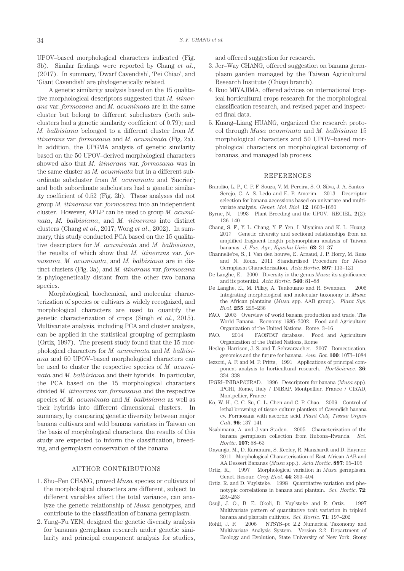UPOV–based morphological characters indicated (Fig. 3b). Similar findings were reported by Chang *et al*., (2017). In summary, 'Dwarf Cavendish', 'Pei Chiao', and 'Giant Cavendish' are phylogenetically related.

A genetic similarity analysis based on the 15 qualitative morphological descriptors suggested that *M. itinerans* var. *formosana* and *M. acuminata* are in the same cluster but belong to different subclusters (both subclusters had a genetic similarity coefficient of 0.79); and *M. balbisiana* belonged to a different cluster from *M. itinerans* var. *formosana* and *M. acuminata* (Fig. 2a). In addition, the UPGMA analysis of genetic similarity based on the 50 UPOV–derived morphological characters showed also that *M. itinerans* var. *formosana* was in the same cluster as *M. acuminata* but in a different subordinate subcluster from *M. acuminata* and 'Sucrier'; and both subordinate subclusters had a genetic similarity coefficient of 0.52 (Fig. 2b). These analyses did not group *M. itinerans* var. *formosana* into an independent cluster. However, AFLP can be used to group *M. acuminata*, *M. balbisiana*, and *M. itinerans* into distinct clusters (Chang *et al*., 2017; Wong *et al*., 2002). In summary, this study conducted PCA based on the 15 qualitative descriptors for *M. acuminata* and *M. balbisiana*, the reuslts of which show that *M. itinerans* var. *formosana*, *M. acuminata*, and *M. balbisiana* are in distinct clusters (Fig. 3a), and *M. itinerans* var. *formosana* is phylogenetically distant from the other two banana species.

Morphological, biochemical, and molecular characterization of species or cultivars is widely recognized, and morphological characters are used to quantify the genetic characterization of crops (Singh *et al*., 2015). Multivariate analysis, including PCA and cluster analysis, can be applied in the statistical grouping of germplasm (Ortiz, 1997). The present study found that the 15 morphological characters for *M. acuminata* and *M. balbisiana* and 50 UPOV–based morphological characters can be used to cluster the respective species of *M. acuminata* and *M. balbisiana* and their hybrids. In particular, the PCA based on the 15 morphological characters divided *M. itinerans* var. *formosana* and the respective species of *M. acuminata* and *M. balbisiana* as well as their hybrids into different dimensional clusters. In summary, by comparing genetic diversity between major banana cultivars and wild banana varieties in Taiwan on the basis of morphological characters, the results of this study are expected to inform the classification, breeding, and germplasm conservation of the banana.

#### AUTHOR CONTRIBUTIONS

- 1. Shu–Fen CHANG, proved *Musa* species or cultivars of the morphological characters are different, subject to different variables affect the total variance, can analyze the genetic relationship of *Musa* genotypes, and contribute to the classification of banana germplasm.
- 2. Yung–Fu YEN, designed the genetic diversity analysis for bananas germplasm research under genetic similarity and principal component analysis for studies,

and offered suggestion for research.

- 3. Jer–Way CHANG, offered suggestion on banana germplasm garden managed by the Taiwan Agricultural Research Institute (Chiayi branch).
- 4. Ikuo MIYAJIMA, offered advices on international tropical horticultural crops research for the morphological classification research, and revised paper and inspected final data.
- 5. Kuang–Liang HUANG, organized the research protocol through *Musa acuminata* and *M. balbisiana* 15 morphological characters and 50 UPOV–based morphological characters on morphological taxonomy of bananas, and managed lab process.

#### REFERENCES

- Brandão, L. P., C. P. F. Souza, V. M. Pereira, S. O. Silva, J. A. Santos– Serejo, C. A. S. Ledo and E. P. Amorim. 2013 Descriptor selection for banana accessions based on univariate and multivariate analysis. *Genet. Mol. Biol*. **12**: 1603–1620
- Byrne, N. 1993 Plant Breeding and the UPOV. RECIEL. **2**(2): 136–140
- Chang, S. F., Y. L. Chang, Y. F. Yen, I. Miyajima and K. L. Huang. 2017 Genetic diversity and sectional relationships from an amplified fragment length polymorphism analysis of Taiwan bananas. *J. Fac. Agr., Kyushu Univ*. **62**: 31–37
- Channelie're, S., I. Van den houwe, E. Arnaud, J. P. Horry, M. Ruas and N. Roux. 2011 Standardised Procedure for *Musa* Germplasm Characterisation. *Acta Hortic*. **897**: 113–121
- De Langhe, E. 2000 Diversity in the genus *Musa*: its significance and its potential. *Acta Hortic*. **540**: 81–88
- De Langhe, E., M. Pillay, A. Tenkouano and R. Swennen. 2005 Integrating morphological and molecular taxonomy in *Musa*: the African plantains (*Musa* spp. AAB group). *Plant Sys. Evol*. **255**: 225–236
- FAO. 2003 Overview of world banana production and trade. The World Banana. Economy 1985–2002. Food and Agriculture Organization of the United Nations. Rome. 3–16
- FAO. 2014 FAOSTAT database. Food and Agriculture Organization of the United Nations, Rome
- Heslop–Harrison, J. S. and T. Schwarzacher. 2007 Domestication, genomics and the future for banana. *Ann. Bot*. **100**: 1073–1084
- Iezzoni, A. F. and M. P. Pritts, 1991 Applications of principal component analysis to horticultural research. *HortScience*. **26**: 334–338
- IPGRI–INIBAP/CIRAD. 1996 Descriptors for banana (*Musa* spp). IPGRI, Rome, Italy / INIBAP, Montpellier, France / CIRAD, Montpellier, France
- Ko, W. H., C. C. Su, C. L. Chen and C. P. Chao. 2009 Control of lethal browning of tissue culture plantlets of Cavendish banana cv. Formosana with ascorbic acid. *Plant Cell, Tissue Organ Cult*. **96**: 137–141
- Nsabimana, A. and J van Staden. 2005 Characterization of the banana germplasm collection from Rubona–Rwanda. *Sci. Hortic*. **107**: 58–63
- Onyango, M., D. Karamura, S. Keeley, R. Manshardt and D. Haymer. 2011 Morphological Characterisation of East African AAB and AA Dessert Bananas (*Musa* spp.). *Acta Hortic*. **897**: 95–105
- Ortiz, R., 1997 Morphological variation in *Musa* germplasm. Genet. Resour. *Crop Evol*. **44**: 393–404
- Ortiz, R. and D. Vuylsteke. 1998 Quantitative variation and phenotypic correlations in banana and plantain. *Sci. Hortic*. **72**: 239–253
- Osuji, J. O., B. E. Okoli, D. Vuylsteke and R. Ortiz. 1997 Multivariate pattern of quantitative trait variation in triploid banana and plantain cultivars. *Sci. Hortic*. **71**: 197–202
- Rohlf, J. F. 2006 NTSYS–pc 2.2 Numerical Taxonomy and Multivariate Analysis System. Version 2.2. Department of Ecology and Evolution, State University of New York, Stony